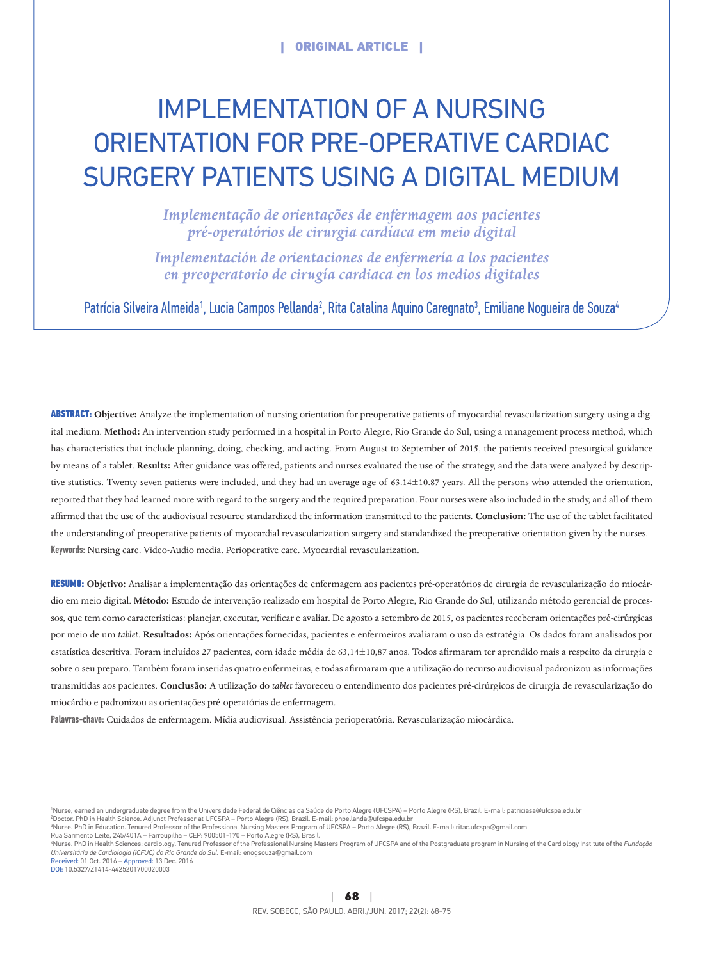# Implementation of a nursing orientation for pre-operative cardiac surgery patients using a digital medium

*Implementação de orientações de enfermagem aos pacientes pré‑operatórios de cirurgia cardíaca em meio digital*

*Implementación de orientaciones de enfermería a los pacientes en preoperatorio de cirugía cardiaca en los medios digitales* 

Patrícia Silveira Almeida<sup>1</sup>, Lucia Campos Pellanda<sup>2</sup>, Rita Catalina Aquino Caregnato<sup>3</sup>, Emiliane Nogueira de Souza<sup>4</sup>

ABSTRACT: **Objective:** Analyze the implementation of nursing orientation for preoperative patients of myocardial revascularization surgery using a digital medium. **Method:** An intervention study performed in a hospital in Porto Alegre, Rio Grande do Sul, using a management process method, which has characteristics that include planning, doing, checking, and acting. From August to September of 2015, the patients received presurgical guidance by means of a tablet. **Results:** After guidance was offered, patients and nurses evaluated the use of the strategy, and the data were analyzed by descriptive statistics. Twenty-seven patients were included, and they had an average age of 63.14±10.87 years. All the persons who attended the orientation, reported that they had learned more with regard to the surgery and the required preparation. Four nurses were also included in the study, and all of them affirmed that the use of the audiovisual resource standardized the information transmitted to the patients. **Conclusion:** The use of the tablet facilitated the understanding of preoperative patients of myocardial revascularization surgery and standardized the preoperative orientation given by the nurses. Keywords: Nursing care. Video-Audio media. Perioperative care. Myocardial revascularization.

RESUMO: **Objetivo:** Analisar a implementação das orientações de enfermagem aos pacientes pré-operatórios de cirurgia de revascularização do miocárdio em meio digital. **Método:** Estudo de intervenção realizado em hospital de Porto Alegre, Rio Grande do Sul, utilizando método gerencial de processos, que tem como características: planejar, executar, verificar e avaliar. De agosto a setembro de 2015, os pacientes receberam orientações pré-cirúrgicas por meio de um *tablet*. **Resultados:** Após orientações fornecidas, pacientes e enfermeiros avaliaram o uso da estratégia. Os dados foram analisados por estatística descritiva. Foram incluídos 27 pacientes, com idade média de 63,14±10,87 anos. Todos afirmaram ter aprendido mais a respeito da cirurgia e sobre o seu preparo. Também foram inseridas quatro enfermeiras, e todas afirmaram que a utilização do recurso audiovisual padronizou as informações transmitidas aos pacientes. **Conclusão:** A utilização do *tablet* favoreceu o entendimento dos pacientes pré-cirúrgicos de cirurgia de revascularização do miocárdio e padronizou as orientações pré-operatórias de enfermagem.

Palavras‑chave: Cuidados de enfermagem. Mídia audiovisual. Assistência perioperatória. Revascularização miocárdica.

1 Nurse, earned an undergraduate degree from the Universidade Federal de Ciências da Saúde de Porto Alegre (UFCSPA) – Porto Alegre (RS), Brazil. E‑mail: patriciasa@ufcspa.edu.br

ªDoctor. PhD in Health Science. Adjunct Professor at UFCSPA – Porto Alegre (RS), Brazil. E-mail: phpellanda@ufcspa.edu.br<br>ªNurse. PhD in Education. Tenured Professor of the Professional Nursing Masters Program of UFCSPA –

Rua Sarmento Leite, 245/401A – Farroupilha – CEP: 900501‑170 – Porto Alegre (RS), Brasil.

"Nurse. PhD in Health Sciences: cardiology. Tenured Professor of the Professional Nursing Masters Program of UFCSPA and of the Postgraduate program in Nursing of the Cardiology Institute of the *Fundoção*<br>*Universitária de*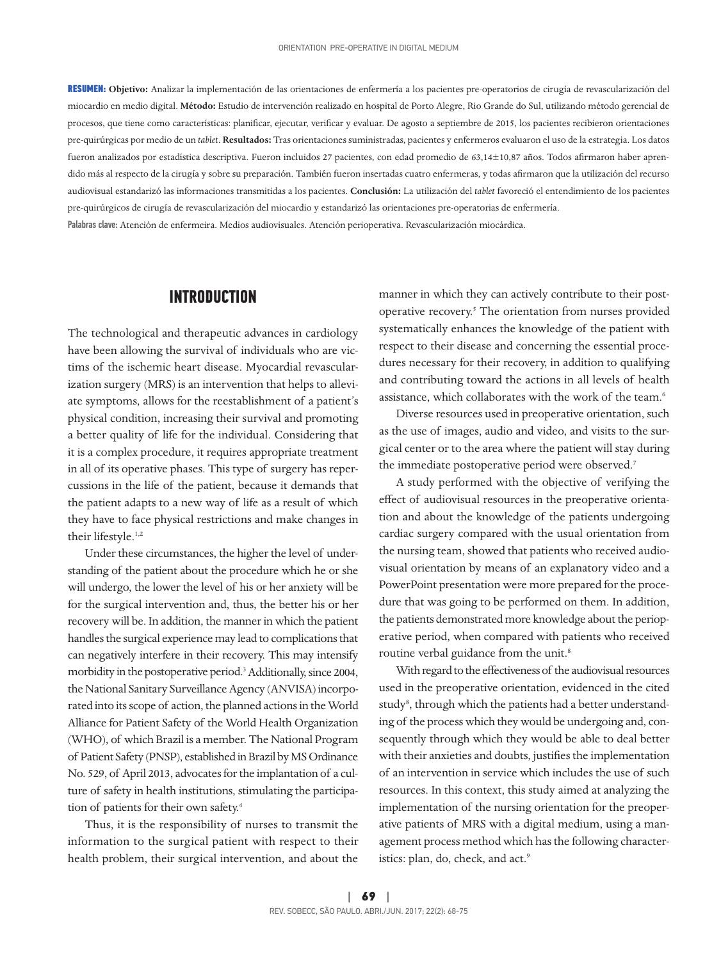RESUMEN: **Objetivo:** Analizar la implementación de las orientaciones de enfermería a los pacientes pre-operatorios de cirugía de revascularización del miocardio en medio digital. **Método:** Estudio de intervención realizado en hospital de Porto Alegre, Rio Grande do Sul, utilizando método gerencial de procesos, que tiene como características: planificar, ejecutar, verificar y evaluar. De agosto a septiembre de 2015, los pacientes recibieron orientaciones pre-quirúrgicas por medio de un *tablet*. **Resultados:** Tras orientaciones suministradas, pacientes y enfermeros evaluaron el uso de la estrategia. Los datos fueron analizados por estadística descriptiva. Fueron incluidos 27 pacientes, con edad promedio de 63,14±10,87 años. Todos afirmaron haber aprendido más al respecto de la cirugía y sobre su preparación. También fueron insertadas cuatro enfermeras, y todas afirmaron que la utilización del recurso audiovisual estandarizó las informaciones transmitidas a los pacientes. **Conclusión:** La utilización del *tablet* favoreció el entendimiento de los pacientes pre-quirúrgicos de cirugía de revascularización del miocardio y estandarizó las orientaciones pre-operatorias de enfermería. Palabras clave: Atención de enfermeira. Medios audiovisuales. Atención perioperativa. Revascularización miocárdica.

#### **INTRODUCTION**

The technological and therapeutic advances in cardiology have been allowing the survival of individuals who are victims of the ischemic heart disease. Myocardial revascularization surgery (MRS) is an intervention that helps to alleviate symptoms, allows for the reestablishment of a patient's physical condition, increasing their survival and promoting a better quality of life for the individual. Considering that it is a complex procedure, it requires appropriate treatment in all of its operative phases. This type of surgery has repercussions in the life of the patient, because it demands that the patient adapts to a new way of life as a result of which they have to face physical restrictions and make changes in their lifestyle.<sup>1,2</sup>

Under these circumstances, the higher the level of understanding of the patient about the procedure which he or she will undergo, the lower the level of his or her anxiety will be for the surgical intervention and, thus, the better his or her recovery will be. In addition, the manner in which the patient handles the surgical experience may lead to complications that can negatively interfere in their recovery. This may intensify morbidity in the postoperative period.3 Additionally, since 2004, the National Sanitary Surveillance Agency (ANVISA) incorporated into its scope of action, the planned actions in the World Alliance for Patient Safety of the World Health Organization (WHO), of which Brazil is a member. The National Program of Patient Safety (PNSP), established in Brazil by MS Ordinance No. 529, of April 2013, advocates for the implantation of a culture of safety in health institutions, stimulating the participation of patients for their own safety.4

Thus, it is the responsibility of nurses to transmit the information to the surgical patient with respect to their health problem, their surgical intervention, and about the

manner in which they can actively contribute to their postoperative recovery.<sup>5</sup> The orientation from nurses provided systematically enhances the knowledge of the patient with respect to their disease and concerning the essential procedures necessary for their recovery, in addition to qualifying and contributing toward the actions in all levels of health assistance, which collaborates with the work of the team.6

Diverse resources used in preoperative orientation, such as the use of images, audio and video, and visits to the surgical center or to the area where the patient will stay during the immediate postoperative period were observed.<sup>7</sup>

A study performed with the objective of verifying the effect of audiovisual resources in the preoperative orientation and about the knowledge of the patients undergoing cardiac surgery compared with the usual orientation from the nursing team, showed that patients who received audiovisual orientation by means of an explanatory video and a PowerPoint presentation were more prepared for the procedure that was going to be performed on them. In addition, the patients demonstrated more knowledge about the perioperative period, when compared with patients who received routine verbal guidance from the unit.<sup>8</sup>

With regard to the effectiveness of the audiovisual resources used in the preoperative orientation, evidenced in the cited study<sup>8</sup>, through which the patients had a better understanding of the process which they would be undergoing and, consequently through which they would be able to deal better with their anxieties and doubts, justifies the implementation of an intervention in service which includes the use of such resources. In this context, this study aimed at analyzing the implementation of the nursing orientation for the preoperative patients of MRS with a digital medium, using a management process method which has the following characteristics: plan, do, check, and act.<sup>9</sup>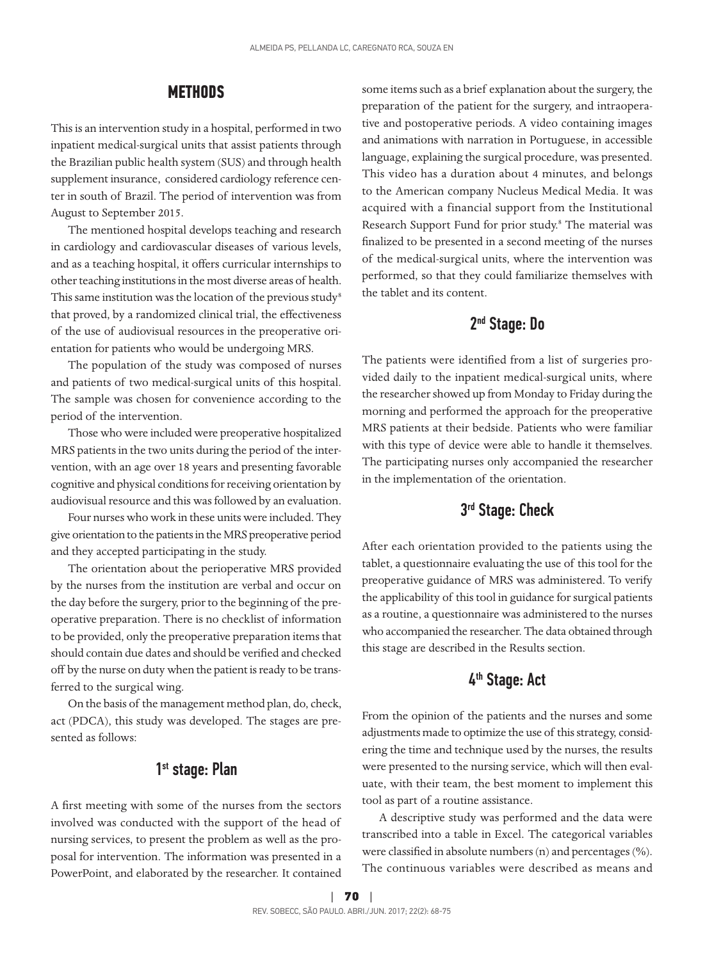### **METHODS**

This is an intervention study in a hospital, performed in two inpatient medical-surgical units that assist patients through the Brazilian public health system (SUS) and through health supplement insurance, considered cardiology reference center in south of Brazil. The period of intervention was from August to September 2015.

The mentioned hospital develops teaching and research in cardiology and cardiovascular diseases of various levels, and as a teaching hospital, it offers curricular internships to other teaching institutions in the most diverse areas of health. This same institution was the location of the previous study<sup>8</sup> that proved, by a randomized clinical trial, the effectiveness of the use of audiovisual resources in the preoperative orientation for patients who would be undergoing MRS.

The population of the study was composed of nurses and patients of two medical-surgical units of this hospital. The sample was chosen for convenience according to the period of the intervention.

Those who were included were preoperative hospitalized MRS patients in the two units during the period of the intervention, with an age over 18 years and presenting favorable cognitive and physical conditions for receiving orientation by audiovisual resource and this was followed by an evaluation.

Four nurses who work in these units were included. They give orientation to the patients in the MRS preoperative period and they accepted participating in the study.

The orientation about the perioperative MRS provided by the nurses from the institution are verbal and occur on the day before the surgery, prior to the beginning of the preoperative preparation. There is no checklist of information to be provided, only the preoperative preparation items that should contain due dates and should be verified and checked off by the nurse on duty when the patient is ready to be transferred to the surgical wing.

On the basis of the management method plan, do, check, act (PDCA), this study was developed. The stages are presented as follows:

## 1<sup>st</sup> stage: Plan

A first meeting with some of the nurses from the sectors involved was conducted with the support of the head of nursing services, to present the problem as well as the proposal for intervention. The information was presented in a PowerPoint, and elaborated by the researcher. It contained

some items such as a brief explanation about the surgery, the preparation of the patient for the surgery, and intraoperative and postoperative periods. A video containing images and animations with narration in Portuguese, in accessible language, explaining the surgical procedure, was presented. This video has a duration about 4 minutes, and belongs to the American company Nucleus Medical Media. It was acquired with a financial support from the Institutional Research Support Fund for prior study.<sup>8</sup> The material was finalized to be presented in a second meeting of the nurses of the medical-surgical units, where the intervention was performed, so that they could familiarize themselves with the tablet and its content.

## 2nd Stage: Do

The patients were identified from a list of surgeries provided daily to the inpatient medical-surgical units, where the researcher showed up from Monday to Friday during the morning and performed the approach for the preoperative MRS patients at their bedside. Patients who were familiar with this type of device were able to handle it themselves. The participating nurses only accompanied the researcher in the implementation of the orientation.

## 3rd Stage: Check

After each orientation provided to the patients using the tablet, a questionnaire evaluating the use of this tool for the preoperative guidance of MRS was administered. To verify the applicability of this tool in guidance for surgical patients as a routine, a questionnaire was administered to the nurses who accompanied the researcher. The data obtained through this stage are described in the Results section.

## 4<sup>th</sup> Stage: Act

From the opinion of the patients and the nurses and some adjustments made to optimize the use of this strategy, considering the time and technique used by the nurses, the results were presented to the nursing service, which will then evaluate, with their team, the best moment to implement this tool as part of a routine assistance.

A descriptive study was performed and the data were transcribed into a table in Excel. The categorical variables were classified in absolute numbers (n) and percentages (%). The continuous variables were described as means and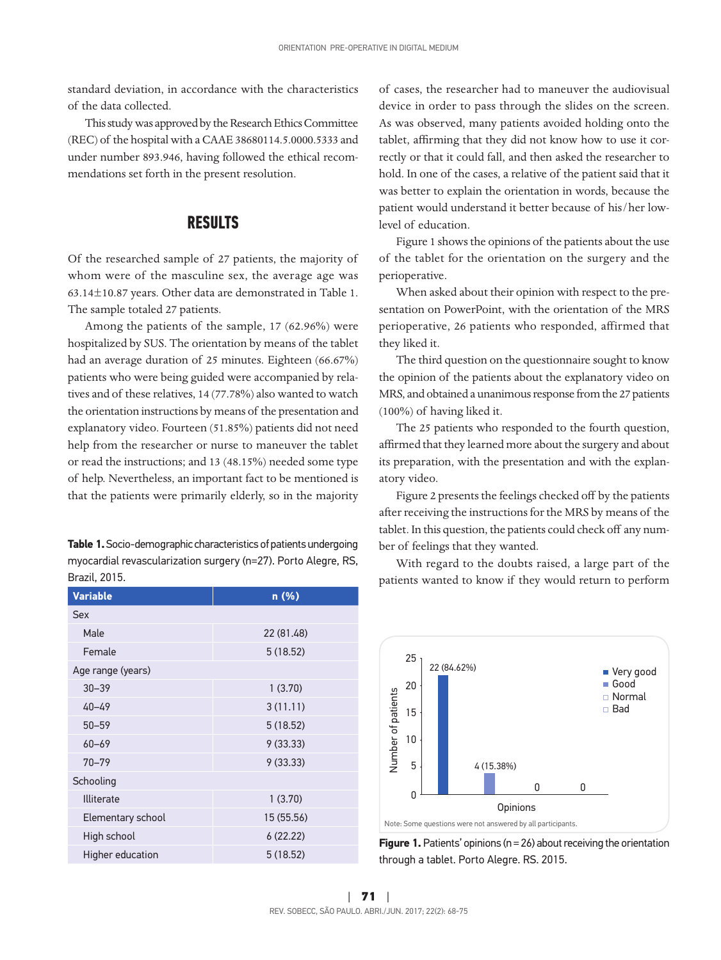standard deviation, in accordance with the characteristics of the data collected.

This study was approved by the Research Ethics Committee (REC) of the hospital with a CAAE 38680114.5.0000.5333 and under number 893.946, having followed the ethical recommendations set forth in the present resolution.

#### **RESULTS**

Of the researched sample of 27 patients, the majority of whom were of the masculine sex, the average age was 63.14±10.87 years. Other data are demonstrated in Table 1. The sample totaled 27 patients.

Among the patients of the sample, 17 (62.96%) were hospitalized by SUS. The orientation by means of the tablet had an average duration of 25 minutes. Eighteen (66.67%) patients who were being guided were accompanied by relatives and of these relatives, 14 (77.78%) also wanted to watch the orientation instructions by means of the presentation and explanatory video. Fourteen (51.85%) patients did not need help from the researcher or nurse to maneuver the tablet or read the instructions; and 13 (48.15%) needed some type of help. Nevertheless, an important fact to be mentioned is that the patients were primarily elderly, so in the majority

**Table 1.** Socio-demographic characteristics of patients undergoing myocardial revascularization surgery (n=27). Porto Alegre, RS, Brazil, 2015.

| <b>Variable</b>   | n (%)      |  |  |  |
|-------------------|------------|--|--|--|
| Sex               |            |  |  |  |
| Male              | 22 (81.48) |  |  |  |
| Female            | 5(18.52)   |  |  |  |
| Age range (years) |            |  |  |  |
| $30 - 39$         | 1(3.70)    |  |  |  |
| $40 - 49$         | 3(11.11)   |  |  |  |
| $50 - 59$         | 5(18.52)   |  |  |  |
| $60 - 69$         | 9(33.33)   |  |  |  |
| $70 - 79$         | 9(33.33)   |  |  |  |
| Schooling         |            |  |  |  |
| <b>Illiterate</b> | 1(3.70)    |  |  |  |
| Elementary school | 15 (55.56) |  |  |  |
| High school       | 6(22.22)   |  |  |  |
| Higher education  | 5(18.52)   |  |  |  |

of cases, the researcher had to maneuver the audiovisual device in order to pass through the slides on the screen. As was observed, many patients avoided holding onto the tablet, affirming that they did not know how to use it correctly or that it could fall, and then asked the researcher to hold. In one of the cases, a relative of the patient said that it was better to explain the orientation in words, because the patient would understand it better because of his/her lowlevel of education.

Figure 1 shows the opinions of the patients about the use of the tablet for the orientation on the surgery and the perioperative.

When asked about their opinion with respect to the presentation on PowerPoint, with the orientation of the MRS perioperative, 26 patients who responded, affirmed that they liked it.

The third question on the questionnaire sought to know the opinion of the patients about the explanatory video on MRS, and obtained a unanimous response from the 27 patients (100%) of having liked it.

The 25 patients who responded to the fourth question, affirmed that they learned more about the surgery and about its preparation, with the presentation and with the explanatory video.

Figure 2 presents the feelings checked off by the patients after receiving the instructions for the MRS by means of the tablet. In this question, the patients could check off any number of feelings that they wanted.

With regard to the doubts raised, a large part of the patients wanted to know if they would return to perform



**Figure 1.** Patients' opinions (n = 26) about receiving the orientation through a tablet. Porto Alegre. RS. 2015.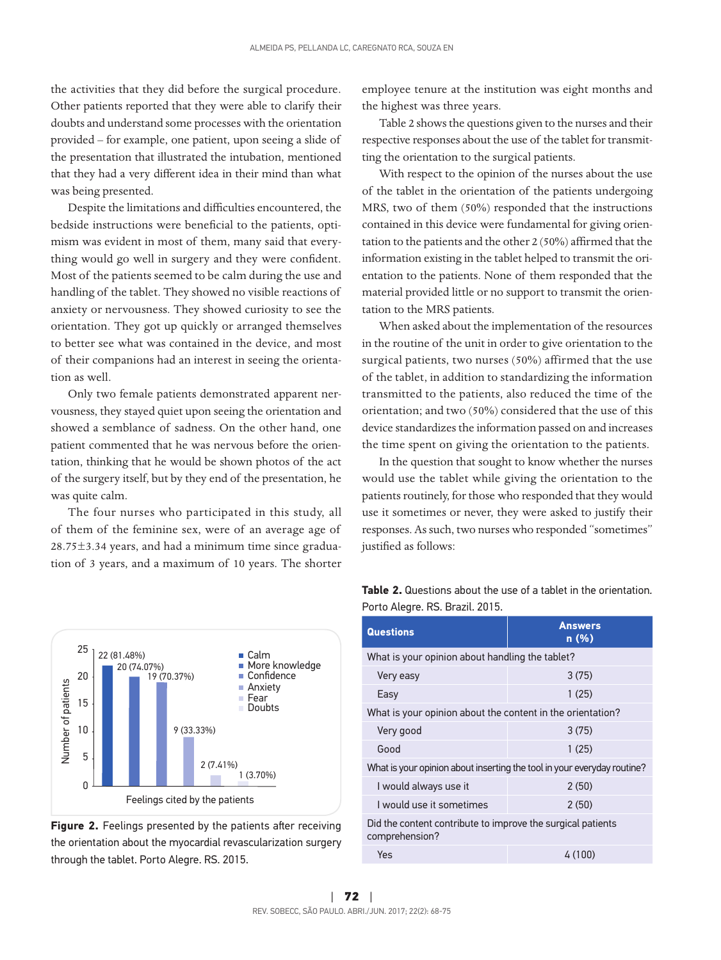the activities that they did before the surgical procedure. Other patients reported that they were able to clarify their doubts and understand some processes with the orientation provided – for example, one patient, upon seeing a slide of the presentation that illustrated the intubation, mentioned that they had a very different idea in their mind than what was being presented.

Despite the limitations and difficulties encountered, the bedside instructions were beneficial to the patients, optimism was evident in most of them, many said that everything would go well in surgery and they were confident. Most of the patients seemed to be calm during the use and handling of the tablet. They showed no visible reactions of anxiety or nervousness. They showed curiosity to see the orientation. They got up quickly or arranged themselves to better see what was contained in the device, and most of their companions had an interest in seeing the orientation as well.

Only two female patients demonstrated apparent nervousness, they stayed quiet upon seeing the orientation and showed a semblance of sadness. On the other hand, one patient commented that he was nervous before the orientation, thinking that he would be shown photos of the act of the surgery itself, but by they end of the presentation, he was quite calm.

The four nurses who participated in this study, all of them of the feminine sex, were of an average age of 28.75±3.34 years, and had a minimum time since graduation of 3 years, and a maximum of 10 years. The shorter employee tenure at the institution was eight months and the highest was three years.

Table 2 shows the questions given to the nurses and their respective responses about the use of the tablet for transmitting the orientation to the surgical patients.

With respect to the opinion of the nurses about the use of the tablet in the orientation of the patients undergoing MRS, two of them (50%) responded that the instructions contained in this device were fundamental for giving orientation to the patients and the other 2 (50%) affirmed that the information existing in the tablet helped to transmit the orientation to the patients. None of them responded that the material provided little or no support to transmit the orientation to the MRS patients.

When asked about the implementation of the resources in the routine of the unit in order to give orientation to the surgical patients, two nurses (50%) affirmed that the use of the tablet, in addition to standardizing the information transmitted to the patients, also reduced the time of the orientation; and two (50%) considered that the use of this device standardizes the information passed on and increases the time spent on giving the orientation to the patients.

In the question that sought to know whether the nurses would use the tablet while giving the orientation to the patients routinely, for those who responded that they would use it sometimes or never, they were asked to justify their responses. As such, two nurses who responded "sometimes" justified as follows:



**Figure 2.** Feelings presented by the patients after receiving the orientation about the myocardial revascularization surgery

|                                 | <b>Table 2.</b> Questions about the use of a tablet in the orientation. |  |  |
|---------------------------------|-------------------------------------------------------------------------|--|--|
| Porto Alegre. RS. Brazil. 2015. |                                                                         |  |  |

| <b>Questions</b>                                                              | <b>Answers</b><br>n(%) |  |  |  |
|-------------------------------------------------------------------------------|------------------------|--|--|--|
| What is your opinion about handling the tablet?                               |                        |  |  |  |
| Very easy                                                                     | 3(75)                  |  |  |  |
| Easy                                                                          | 1(25)                  |  |  |  |
| What is your opinion about the content in the orientation?                    |                        |  |  |  |
| Very good                                                                     | 3(75)                  |  |  |  |
| Good                                                                          | 1(25)                  |  |  |  |
| What is your opinion about inserting the tool in your everyday routine?       |                        |  |  |  |
| I would always use it                                                         | 2(50)                  |  |  |  |
| I would use it sometimes                                                      | 2(50)                  |  |  |  |
| Did the content contribute to improve the surgical patients<br>comprehension? |                        |  |  |  |
| Yes                                                                           | 4(100)                 |  |  |  |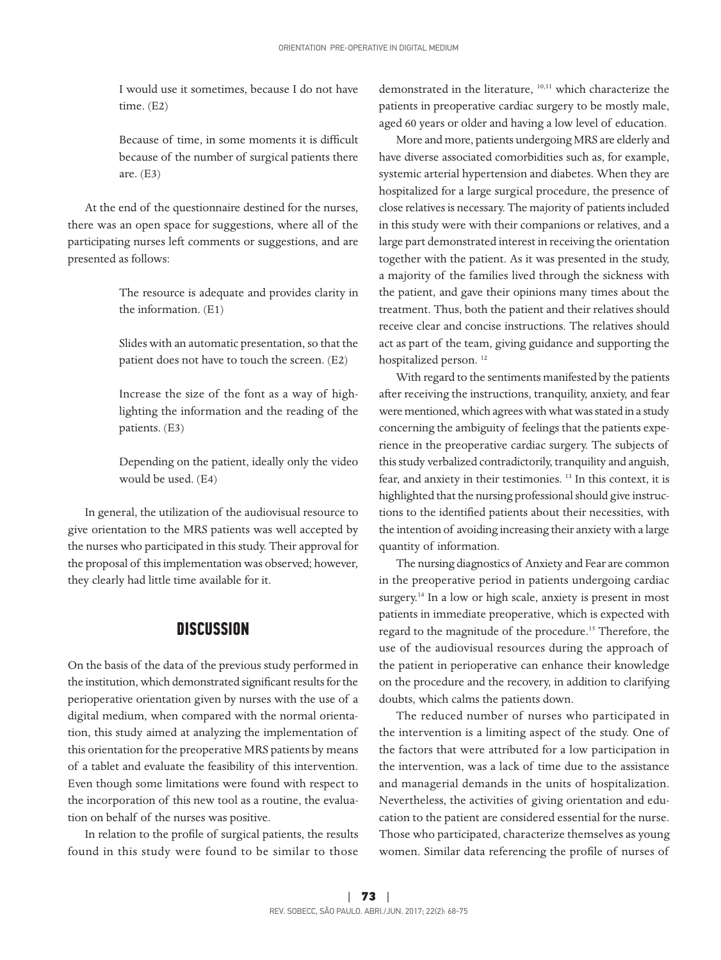I would use it sometimes, because I do not have time. (E2)

Because of time, in some moments it is difficult because of the number of surgical patients there are. (E3)

At the end of the questionnaire destined for the nurses, there was an open space for suggestions, where all of the participating nurses left comments or suggestions, and are presented as follows:

> The resource is adequate and provides clarity in the information. (E1)

> Slides with an automatic presentation, so that the patient does not have to touch the screen. (E2)

> Increase the size of the font as a way of highlighting the information and the reading of the patients. (E3)

> Depending on the patient, ideally only the video would be used. (E4)

In general, the utilization of the audiovisual resource to give orientation to the MRS patients was well accepted by the nurses who participated in this study. Their approval for the proposal of this implementation was observed; however, they clearly had little time available for it.

#### **DISCUSSION**

On the basis of the data of the previous study performed in the institution, which demonstrated significant results for the perioperative orientation given by nurses with the use of a digital medium, when compared with the normal orientation, this study aimed at analyzing the implementation of this orientation for the preoperative MRS patients by means of a tablet and evaluate the feasibility of this intervention. Even though some limitations were found with respect to the incorporation of this new tool as a routine, the evaluation on behalf of the nurses was positive.

In relation to the profile of surgical patients, the results found in this study were found to be similar to those

demonstrated in the literature, 10,11 which characterize the patients in preoperative cardiac surgery to be mostly male, aged 60 years or older and having a low level of education.

More and more, patients undergoing MRS are elderly and have diverse associated comorbidities such as, for example, systemic arterial hypertension and diabetes. When they are hospitalized for a large surgical procedure, the presence of close relatives is necessary. The majority of patients included in this study were with their companions or relatives, and a large part demonstrated interest in receiving the orientation together with the patient. As it was presented in the study, a majority of the families lived through the sickness with the patient, and gave their opinions many times about the treatment. Thus, both the patient and their relatives should receive clear and concise instructions. The relatives should act as part of the team, giving guidance and supporting the hospitalized person.<sup>12</sup>

With regard to the sentiments manifested by the patients after receiving the instructions, tranquility, anxiety, and fear were mentioned, which agrees with what was stated in a study concerning the ambiguity of feelings that the patients experience in the preoperative cardiac surgery. The subjects of this study verbalized contradictorily, tranquility and anguish, fear, and anxiety in their testimonies. 13 In this context, it is highlighted that the nursing professional should give instructions to the identified patients about their necessities, with the intention of avoiding increasing their anxiety with a large quantity of information.

The nursing diagnostics of Anxiety and Fear are common in the preoperative period in patients undergoing cardiac surgery.<sup>14</sup> In a low or high scale, anxiety is present in most patients in immediate preoperative, which is expected with regard to the magnitude of the procedure.<sup>15</sup> Therefore, the use of the audiovisual resources during the approach of the patient in perioperative can enhance their knowledge on the procedure and the recovery, in addition to clarifying doubts, which calms the patients down.

The reduced number of nurses who participated in the intervention is a limiting aspect of the study. One of the factors that were attributed for a low participation in the intervention, was a lack of time due to the assistance and managerial demands in the units of hospitalization. Nevertheless, the activities of giving orientation and education to the patient are considered essential for the nurse. Those who participated, characterize themselves as young women. Similar data referencing the profile of nurses of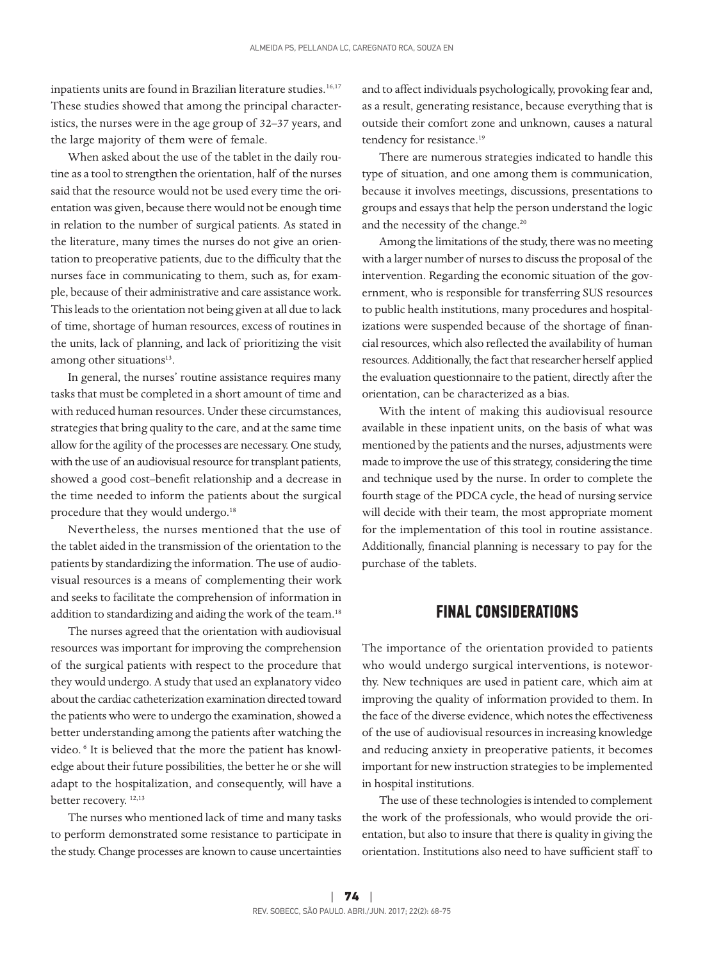inpatients units are found in Brazilian literature studies.<sup>16,17</sup> These studies showed that among the principal characteristics, the nurses were in the age group of 32–37 years, and the large majority of them were of female.

When asked about the use of the tablet in the daily routine as a tool to strengthen the orientation, half of the nurses said that the resource would not be used every time the orientation was given, because there would not be enough time in relation to the number of surgical patients. As stated in the literature, many times the nurses do not give an orientation to preoperative patients, due to the difficulty that the nurses face in communicating to them, such as, for example, because of their administrative and care assistance work. This leads to the orientation not being given at all due to lack of time, shortage of human resources, excess of routines in the units, lack of planning, and lack of prioritizing the visit among other situations<sup>13</sup>.

In general, the nurses' routine assistance requires many tasks that must be completed in a short amount of time and with reduced human resources. Under these circumstances, strategies that bring quality to the care, and at the same time allow for the agility of the processes are necessary. One study, with the use of an audiovisual resource for transplant patients, showed a good cost–benefit relationship and a decrease in the time needed to inform the patients about the surgical procedure that they would undergo.<sup>18</sup>

Nevertheless, the nurses mentioned that the use of the tablet aided in the transmission of the orientation to the patients by standardizing the information. The use of audiovisual resources is a means of complementing their work and seeks to facilitate the comprehension of information in addition to standardizing and aiding the work of the team.<sup>18</sup>

The nurses agreed that the orientation with audiovisual resources was important for improving the comprehension of the surgical patients with respect to the procedure that they would undergo. A study that used an explanatory video about the cardiac catheterization examination directed toward the patients who were to undergo the examination, showed a better understanding among the patients after watching the video. 6 It is believed that the more the patient has knowledge about their future possibilities, the better he or she will adapt to the hospitalization, and consequently, will have a better recovery.<sup>12,13</sup>

The nurses who mentioned lack of time and many tasks to perform demonstrated some resistance to participate in the study. Change processes are known to cause uncertainties

and to affect individuals psychologically, provoking fear and, as a result, generating resistance, because everything that is outside their comfort zone and unknown, causes a natural tendency for resistance.<sup>19</sup>

There are numerous strategies indicated to handle this type of situation, and one among them is communication, because it involves meetings, discussions, presentations to groups and essays that help the person understand the logic and the necessity of the change.<sup>20</sup>

Among the limitations of the study, there was no meeting with a larger number of nurses to discuss the proposal of the intervention. Regarding the economic situation of the government, who is responsible for transferring SUS resources to public health institutions, many procedures and hospitalizations were suspended because of the shortage of financial resources, which also reflected the availability of human resources. Additionally, the fact that researcher herself applied the evaluation questionnaire to the patient, directly after the orientation, can be characterized as a bias.

With the intent of making this audiovisual resource available in these inpatient units, on the basis of what was mentioned by the patients and the nurses, adjustments were made to improve the use of this strategy, considering the time and technique used by the nurse. In order to complete the fourth stage of the PDCA cycle, the head of nursing service will decide with their team, the most appropriate moment for the implementation of this tool in routine assistance. Additionally, financial planning is necessary to pay for the purchase of the tablets.

### **FINAL CONSIDERATIONS**

The importance of the orientation provided to patients who would undergo surgical interventions, is noteworthy. New techniques are used in patient care, which aim at improving the quality of information provided to them. In the face of the diverse evidence, which notes the effectiveness of the use of audiovisual resources in increasing knowledge and reducing anxiety in preoperative patients, it becomes important for new instruction strategies to be implemented in hospital institutions.

The use of these technologies is intended to complement the work of the professionals, who would provide the orientation, but also to insure that there is quality in giving the orientation. Institutions also need to have sufficient staff to